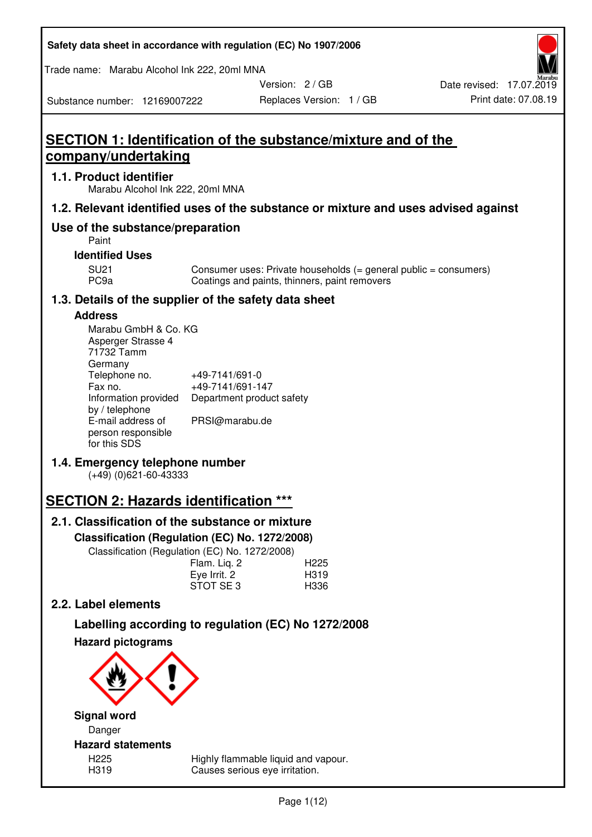| Safety data sheet in accordance with regulation (EC) No 1907/2006 |  |
|-------------------------------------------------------------------|--|
|-------------------------------------------------------------------|--|

Trade name: Marabu Alcohol Ink 222, 20ml MNA

Version: 2 / GB

Replaces Version: 1 / GB Print date: 07.08.19 Date revised: 17.07.2019

# Substance number: 12169007222

# **SECTION 1: Identification of the substance/mixture and of the company/undertaking**

# **1.1. Product identifier**

Marabu Alcohol Ink 222, 20ml MNA

# **1.2. Relevant identified uses of the substance or mixture and uses advised against**

# **Use of the substance/preparation**

Paint

# **Identified Uses**

SU21 Consumer uses: Private households (= general public = consumers)<br>PC9a Coatings and paints, thinners, paint removers Coatings and paints, thinners, paint removers

# **1.3. Details of the supplier of the safety data sheet**

# **Address**

| Marabu GmbH & Co. KG |                           |
|----------------------|---------------------------|
| Asperger Strasse 4   |                           |
| 71732 Tamm           |                           |
| Germany              |                           |
| Telephone no.        | +49-7141/691-0            |
| Fax no.              | +49-7141/691-147          |
| Information provided | Department product safety |
| by / telephone       |                           |
| E-mail address of    | PRSI@marabu.de            |
| person responsible   |                           |
| for this SDS         |                           |

# **1.4. Emergency telephone number**

(+49) (0)621-60-43333

# **SECTION 2: Hazards identification \*\*\***

# **2.1. Classification of the substance or mixture**

**Classification (Regulation (EC) No. 1272/2008)** 

Classification (Regulation (EC) No. 1272/2008)

|              | . |                  |
|--------------|---|------------------|
| Flam. Liq. 2 |   | H <sub>225</sub> |
| Eye Irrit. 2 |   | H319             |
| STOT SE3     |   | H336             |
|              |   |                  |

# **2.2. Label elements**

# **Labelling according to regulation (EC) No 1272/2008**



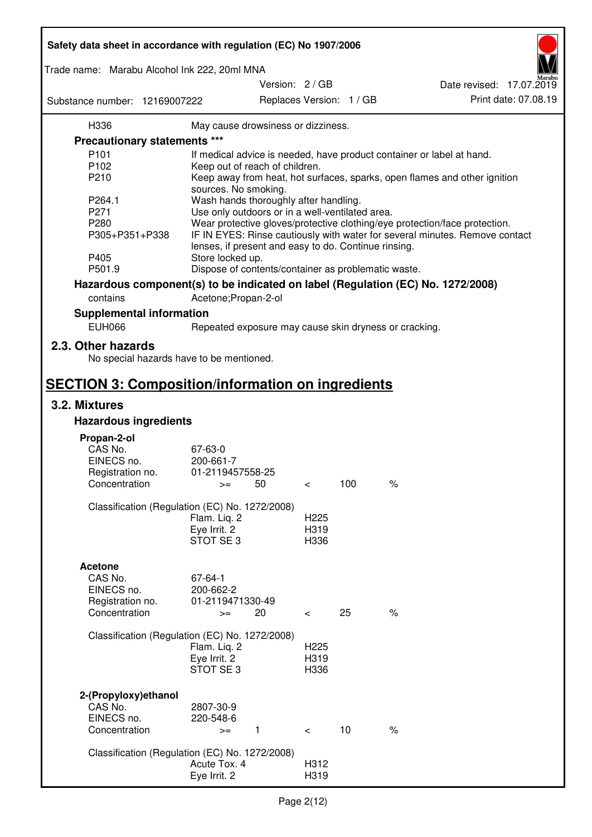| Safety data sheet in accordance with regulation (EC) No 1907/2006 |                                                       |                 |                  |                          |                                                                                 |
|-------------------------------------------------------------------|-------------------------------------------------------|-----------------|------------------|--------------------------|---------------------------------------------------------------------------------|
| Trade name: Marabu Alcohol Ink 222, 20ml MNA                      |                                                       |                 |                  |                          |                                                                                 |
| Substance number: 12169007222                                     |                                                       | Version: 2 / GB |                  | Replaces Version: 1 / GB | Date revised: 17.07.2019<br>Print date: 07.08.19                                |
| H336                                                              | May cause drowsiness or dizziness.                    |                 |                  |                          |                                                                                 |
| <b>Precautionary statements ***</b>                               |                                                       |                 |                  |                          |                                                                                 |
| P <sub>101</sub>                                                  |                                                       |                 |                  |                          | If medical advice is needed, have product container or label at hand.           |
| P102                                                              | Keep out of reach of children.                        |                 |                  |                          |                                                                                 |
| P210                                                              |                                                       |                 |                  |                          | Keep away from heat, hot surfaces, sparks, open flames and other ignition       |
|                                                                   | sources. No smoking.                                  |                 |                  |                          |                                                                                 |
| P264.1                                                            | Wash hands thoroughly after handling.                 |                 |                  |                          |                                                                                 |
| P271                                                              | Use only outdoors or in a well-ventilated area.       |                 |                  |                          |                                                                                 |
| P280                                                              |                                                       |                 |                  |                          | Wear protective gloves/protective clothing/eye protection/face protection.      |
| P305+P351+P338                                                    | lenses, if present and easy to do. Continue rinsing.  |                 |                  |                          | IF IN EYES: Rinse cautiously with water for several minutes. Remove contact     |
| P405                                                              | Store locked up.                                      |                 |                  |                          |                                                                                 |
| P501.9                                                            | Dispose of contents/container as problematic waste.   |                 |                  |                          |                                                                                 |
|                                                                   |                                                       |                 |                  |                          | Hazardous component(s) to be indicated on label (Regulation (EC) No. 1272/2008) |
|                                                                   |                                                       |                 |                  |                          |                                                                                 |
| contains                                                          | Acetone; Propan-2-ol                                  |                 |                  |                          |                                                                                 |
| <b>Supplemental information</b><br><b>EUH066</b>                  |                                                       |                 |                  |                          |                                                                                 |
|                                                                   | Repeated exposure may cause skin dryness or cracking. |                 |                  |                          |                                                                                 |
| 2.3. Other hazards<br>No special hazards have to be mentioned.    |                                                       |                 |                  |                          |                                                                                 |
| <b>SECTION 3: Composition/information on ingredients</b>          |                                                       |                 |                  |                          |                                                                                 |
| 3.2. Mixtures                                                     |                                                       |                 |                  |                          |                                                                                 |
| <b>Hazardous ingredients</b>                                      |                                                       |                 |                  |                          |                                                                                 |
|                                                                   |                                                       |                 |                  |                          |                                                                                 |
| Propan-2-ol<br>CAS No.                                            | 67-63-0                                               |                 |                  |                          |                                                                                 |
| EINECS no.                                                        | 200-661-7                                             |                 |                  |                          |                                                                                 |
| Registration no.                                                  | 01-2119457558-25                                      |                 |                  |                          |                                                                                 |
| Concentration                                                     | 50<br>$>=$                                            |                 | $\,<\,$          | 100                      | $\%$                                                                            |
|                                                                   |                                                       |                 |                  |                          |                                                                                 |
| Classification (Regulation (EC) No. 1272/2008)                    |                                                       |                 |                  |                          |                                                                                 |
|                                                                   | Flam. Liq. 2                                          |                 | H <sub>225</sub> |                          |                                                                                 |
|                                                                   | Eye Irrit. 2                                          |                 | H319             |                          |                                                                                 |
|                                                                   | STOT SE3                                              |                 | H336             |                          |                                                                                 |
|                                                                   |                                                       |                 |                  |                          |                                                                                 |
| <b>Acetone</b>                                                    |                                                       |                 |                  |                          |                                                                                 |
| CAS No.                                                           | 67-64-1                                               |                 |                  |                          |                                                                                 |
| EINECS no.                                                        | 200-662-2<br>01-2119471330-49                         |                 |                  |                          |                                                                                 |
| Registration no.<br>Concentration                                 | 20<br>$>=$                                            |                 | $\,<\,$          | 25                       | $\frac{1}{6}$                                                                   |
|                                                                   |                                                       |                 |                  |                          |                                                                                 |
| Classification (Regulation (EC) No. 1272/2008)                    |                                                       |                 |                  |                          |                                                                                 |
|                                                                   | Flam. Liq. 2                                          |                 | H <sub>225</sub> |                          |                                                                                 |
|                                                                   | Eye Irrit. 2                                          |                 | H319             |                          |                                                                                 |
|                                                                   | STOT SE 3                                             |                 | H336             |                          |                                                                                 |
| 2-(Propyloxy) ethanol                                             |                                                       |                 |                  |                          |                                                                                 |
| CAS No.                                                           | 2807-30-9                                             |                 |                  |                          |                                                                                 |
| EINECS no.                                                        | 220-548-6                                             |                 |                  |                          |                                                                                 |
| Concentration                                                     | $\mathbf{1}$<br>$>=$                                  |                 | $\lt$            | 10                       | $\%$                                                                            |
|                                                                   |                                                       |                 |                  |                          |                                                                                 |
| Classification (Regulation (EC) No. 1272/2008)                    |                                                       |                 |                  |                          |                                                                                 |
|                                                                   | Acute Tox. 4                                          |                 | H312             |                          |                                                                                 |
|                                                                   | Eye Irrit. 2                                          |                 | H319             |                          |                                                                                 |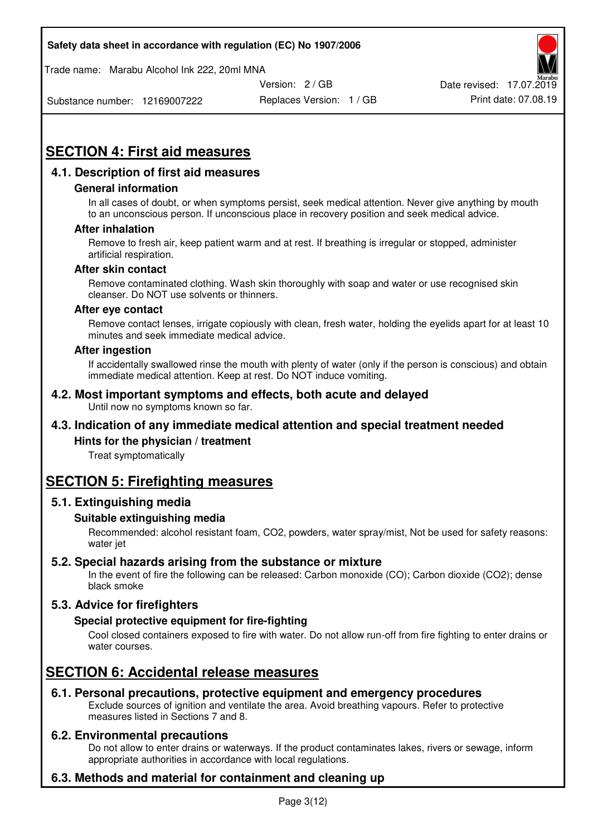Trade name: Marabu Alcohol Ink 222, 20ml MNA



Substance number: 12169007222

Replaces Version: 1 / GB Print date: 07.08.19

# **SECTION 4: First aid measures**

# **4.1. Description of first aid measures**

## **General information**

In all cases of doubt, or when symptoms persist, seek medical attention. Never give anything by mouth to an unconscious person. If unconscious place in recovery position and seek medical advice.

## **After inhalation**

Remove to fresh air, keep patient warm and at rest. If breathing is irregular or stopped, administer artificial respiration.

#### **After skin contact**

Remove contaminated clothing. Wash skin thoroughly with soap and water or use recognised skin cleanser. Do NOT use solvents or thinners.

#### **After eye contact**

Remove contact lenses, irrigate copiously with clean, fresh water, holding the eyelids apart for at least 10 minutes and seek immediate medical advice.

#### **After ingestion**

If accidentally swallowed rinse the mouth with plenty of water (only if the person is conscious) and obtain immediate medical attention. Keep at rest. Do NOT induce vomiting.

#### **4.2. Most important symptoms and effects, both acute and delayed**  Until now no symptoms known so far.

# **4.3. Indication of any immediate medical attention and special treatment needed**

## **Hints for the physician / treatment**

Treat symptomatically

# **SECTION 5: Firefighting measures**

## **5.1. Extinguishing media**

## **Suitable extinguishing media**

Recommended: alcohol resistant foam, CO2, powders, water spray/mist, Not be used for safety reasons: water jet

## **5.2. Special hazards arising from the substance or mixture**

In the event of fire the following can be released: Carbon monoxide (CO); Carbon dioxide (CO2); dense black smoke

# **5.3. Advice for firefighters**

## **Special protective equipment for fire-fighting**

Cool closed containers exposed to fire with water. Do not allow run-off from fire fighting to enter drains or water courses.

# **SECTION 6: Accidental release measures**

## **6.1. Personal precautions, protective equipment and emergency procedures**

Exclude sources of ignition and ventilate the area. Avoid breathing vapours. Refer to protective measures listed in Sections 7 and 8.

## **6.2. Environmental precautions**

Do not allow to enter drains or waterways. If the product contaminates lakes, rivers or sewage, inform appropriate authorities in accordance with local regulations.

# **6.3. Methods and material for containment and cleaning up**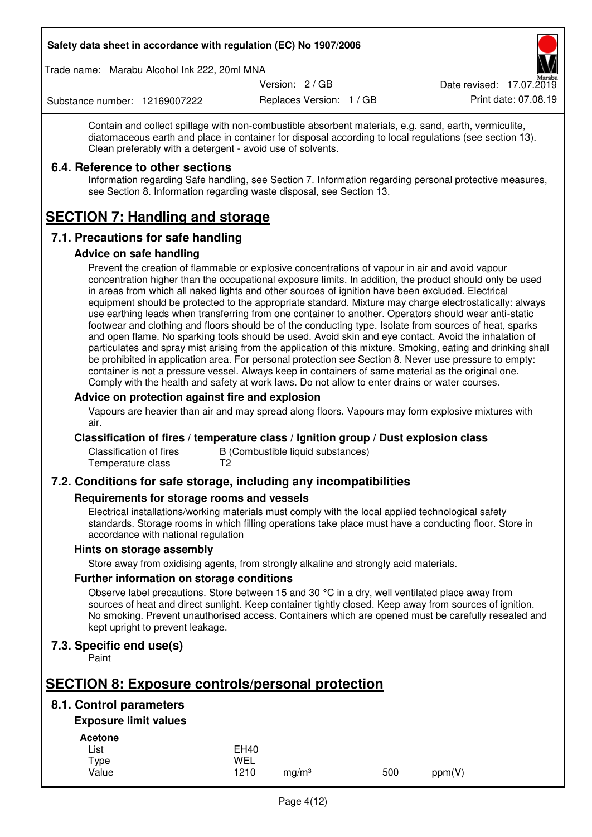Trade name: Marabu Alcohol Ink 222, 20ml MNA

Version: 2 / GB

Replaces Version: 1 / GB Print date: 07.08.19 Date revised: 17.07.2019

Substance number: 12169007222

Contain and collect spillage with non-combustible absorbent materials, e.g. sand, earth, vermiculite, diatomaceous earth and place in container for disposal according to local regulations (see section 13). Clean preferably with a detergent - avoid use of solvents.

# **6.4. Reference to other sections**

Information regarding Safe handling, see Section 7. Information regarding personal protective measures, see Section 8. Information regarding waste disposal, see Section 13.

# **SECTION 7: Handling and storage**

# **7.1. Precautions for safe handling**

## **Advice on safe handling**

Prevent the creation of flammable or explosive concentrations of vapour in air and avoid vapour concentration higher than the occupational exposure limits. In addition, the product should only be used in areas from which all naked lights and other sources of ignition have been excluded. Electrical equipment should be protected to the appropriate standard. Mixture may charge electrostatically: always use earthing leads when transferring from one container to another. Operators should wear anti-static footwear and clothing and floors should be of the conducting type. Isolate from sources of heat, sparks and open flame. No sparking tools should be used. Avoid skin and eye contact. Avoid the inhalation of particulates and spray mist arising from the application of this mixture. Smoking, eating and drinking shall be prohibited in application area. For personal protection see Section 8. Never use pressure to empty: container is not a pressure vessel. Always keep in containers of same material as the original one. Comply with the health and safety at work laws. Do not allow to enter drains or water courses.

# **Advice on protection against fire and explosion**

Vapours are heavier than air and may spread along floors. Vapours may form explosive mixtures with air.

## **Classification of fires / temperature class / Ignition group / Dust explosion class**

Classification of fires B (Combustible liquid substances)<br>Temperature class T2 Temperature class

# **7.2. Conditions for safe storage, including any incompatibilities**

## **Requirements for storage rooms and vessels**

Electrical installations/working materials must comply with the local applied technological safety standards. Storage rooms in which filling operations take place must have a conducting floor. Store in accordance with national regulation

## **Hints on storage assembly**

Store away from oxidising agents, from strongly alkaline and strongly acid materials.

## **Further information on storage conditions**

Observe label precautions. Store between 15 and 30 °C in a dry, well ventilated place away from sources of heat and direct sunlight. Keep container tightly closed. Keep away from sources of ignition. No smoking. Prevent unauthorised access. Containers which are opened must be carefully resealed and kept upright to prevent leakage.

# **7.3. Specific end use(s)**

Paint

# **SECTION 8: Exposure controls/personal protection**

# **8.1. Control parameters**

# **Exposure limit values**

**Acetone** 

| List  | <b>EH40</b> |                   |     |        |
|-------|-------------|-------------------|-----|--------|
| Type  | WEL         |                   |     |        |
| Value | 1210        | mg/m <sup>3</sup> | 500 | ppm(V) |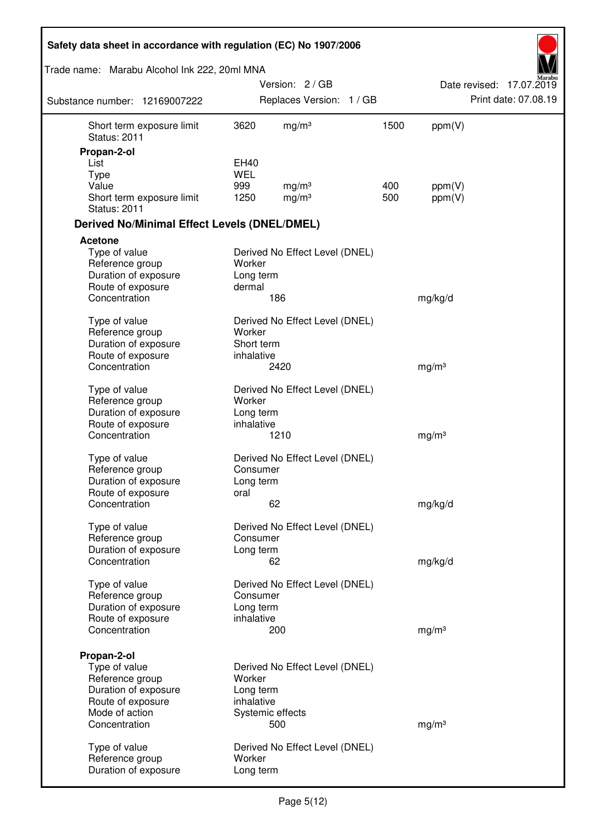| Safety data sheet in accordance with regulation (EC) No 1907/2006 |                     |                                |      |                   |                          |
|-------------------------------------------------------------------|---------------------|--------------------------------|------|-------------------|--------------------------|
| Trade name: Marabu Alcohol Ink 222, 20ml MNA                      |                     |                                |      |                   |                          |
|                                                                   |                     | Version: 2 / GB                |      |                   | Date revised: 17.07.2019 |
| Substance number: 12169007222                                     |                     | Replaces Version: 1 / GB       |      |                   | Print date: 07.08.19     |
| Short term exposure limit<br><b>Status: 2011</b>                  | 3620                | mg/m <sup>3</sup>              | 1500 | ppm(V)            |                          |
| Propan-2-ol                                                       |                     |                                |      |                   |                          |
| List                                                              | EH40<br><b>WEL</b>  |                                |      |                   |                          |
| <b>Type</b><br>Value                                              | 999                 | mg/m <sup>3</sup>              | 400  | ppm(V)            |                          |
| Short term exposure limit<br><b>Status: 2011</b>                  | 1250                | mg/m <sup>3</sup>              | 500  | ppm(V)            |                          |
| <b>Derived No/Minimal Effect Levels (DNEL/DMEL)</b>               |                     |                                |      |                   |                          |
| <b>Acetone</b>                                                    |                     |                                |      |                   |                          |
| Type of value<br>Reference group<br>Duration of exposure          | Worker<br>Long term | Derived No Effect Level (DNEL) |      |                   |                          |
| Route of exposure                                                 | dermal              |                                |      |                   |                          |
| Concentration                                                     |                     | 186                            |      | mg/kg/d           |                          |
| Type of value<br>Reference group                                  | Worker              | Derived No Effect Level (DNEL) |      |                   |                          |
| Duration of exposure                                              | Short term          |                                |      |                   |                          |
| Route of exposure                                                 | inhalative          |                                |      |                   |                          |
| Concentration                                                     |                     | 2420                           |      | mg/m <sup>3</sup> |                          |
| Type of value                                                     |                     | Derived No Effect Level (DNEL) |      |                   |                          |
| Reference group                                                   | Worker              |                                |      |                   |                          |
| Duration of exposure                                              | Long term           |                                |      |                   |                          |
| Route of exposure<br>Concentration                                | inhalative          | 1210                           |      | mg/m <sup>3</sup> |                          |
|                                                                   |                     |                                |      |                   |                          |
| Type of value                                                     |                     | Derived No Effect Level (DNEL) |      |                   |                          |
| Reference group                                                   | Consumer            |                                |      |                   |                          |
| Duration of exposure<br>Route of exposure                         | Long term<br>oral   |                                |      |                   |                          |
| Concentration                                                     |                     | 62                             |      | mg/kg/d           |                          |
| Type of value                                                     |                     | Derived No Effect Level (DNEL) |      |                   |                          |
| Reference group                                                   | Consumer            |                                |      |                   |                          |
| Duration of exposure                                              | Long term           |                                |      |                   |                          |
| Concentration                                                     |                     | 62                             |      | mg/kg/d           |                          |
| Type of value                                                     |                     | Derived No Effect Level (DNEL) |      |                   |                          |
| Reference group                                                   | Consumer            |                                |      |                   |                          |
| Duration of exposure                                              | Long term           |                                |      |                   |                          |
| Route of exposure                                                 | inhalative          |                                |      |                   |                          |
| Concentration                                                     |                     | 200                            |      | mg/m <sup>3</sup> |                          |
| Propan-2-ol                                                       |                     |                                |      |                   |                          |
| Type of value                                                     |                     | Derived No Effect Level (DNEL) |      |                   |                          |
| Reference group                                                   | Worker              |                                |      |                   |                          |
| Duration of exposure                                              | Long term           |                                |      |                   |                          |
| Route of exposure<br>Mode of action                               | inhalative          | Systemic effects               |      |                   |                          |
| Concentration                                                     |                     | 500                            |      | mg/m <sup>3</sup> |                          |
|                                                                   |                     |                                |      |                   |                          |
| Type of value<br>Reference group                                  | Worker              | Derived No Effect Level (DNEL) |      |                   |                          |
| Duration of exposure                                              | Long term           |                                |      |                   |                          |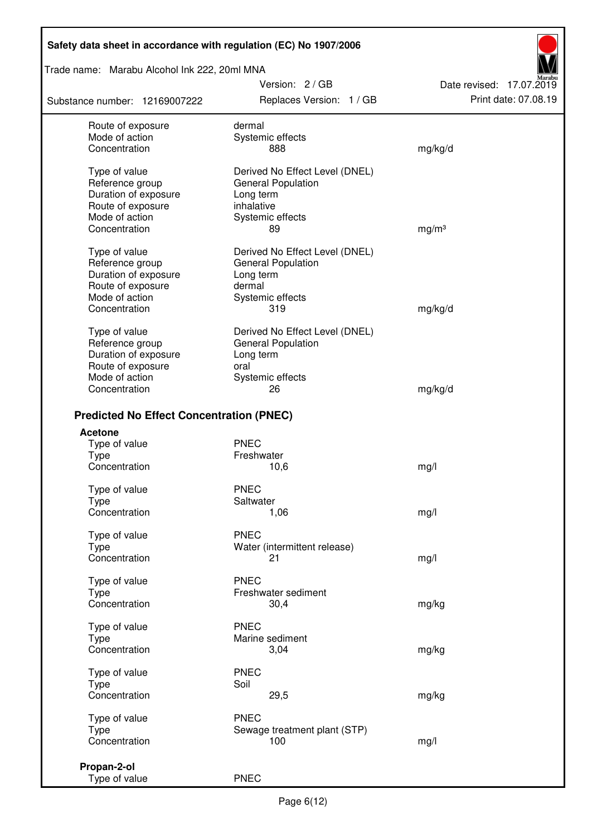Trade name: Marabu Alcohol Ink 222, 20ml MNA

Substance number: 12169007222

Version: 2 / GB Replaces Version: 1 / GB Print date: 07.08.19

Date revised: 17.07.2019

| Route of exposure                               | dermal                         |                   |
|-------------------------------------------------|--------------------------------|-------------------|
| Mode of action                                  | Systemic effects               |                   |
| Concentration                                   | 888                            | mg/kg/d           |
|                                                 |                                |                   |
| Type of value                                   | Derived No Effect Level (DNEL) |                   |
| Reference group                                 | General Population             |                   |
| Duration of exposure                            | Long term                      |                   |
| Route of exposure                               | inhalative                     |                   |
| Mode of action                                  | Systemic effects               |                   |
| Concentration                                   | 89                             | mg/m <sup>3</sup> |
|                                                 |                                |                   |
| Type of value                                   | Derived No Effect Level (DNEL) |                   |
| Reference group                                 | General Population             |                   |
| Duration of exposure                            | Long term                      |                   |
| Route of exposure                               | dermal                         |                   |
| Mode of action                                  | Systemic effects               |                   |
| Concentration                                   | 319                            | mg/kg/d           |
|                                                 |                                |                   |
| Type of value                                   | Derived No Effect Level (DNEL) |                   |
| Reference group                                 | <b>General Population</b>      |                   |
| Duration of exposure                            | Long term                      |                   |
| Route of exposure                               | oral                           |                   |
| Mode of action                                  | Systemic effects               |                   |
| Concentration                                   | 26                             | mg/kg/d           |
|                                                 |                                |                   |
| <b>Predicted No Effect Concentration (PNEC)</b> |                                |                   |
| <b>Acetone</b>                                  |                                |                   |
| Type of value                                   | <b>PNEC</b>                    |                   |
| <b>Type</b>                                     | Freshwater                     |                   |
| Concentration                                   | 10,6                           | mg/l              |
|                                                 |                                |                   |
| Type of value                                   | <b>PNEC</b>                    |                   |
| <b>Type</b>                                     | Saltwater                      |                   |
| Concentration                                   | 1,06                           | mg/l              |
|                                                 | <b>PNEC</b>                    |                   |
| Type of value                                   |                                |                   |
| Type                                            | Water (intermittent release)   |                   |
| Concentration                                   | 21                             | mg/l              |
| Type of value                                   | <b>PNEC</b>                    |                   |
| <b>Type</b>                                     | Freshwater sediment            |                   |
| Concentration                                   | 30,4                           |                   |
|                                                 |                                | mg/kg             |
| Type of value                                   | <b>PNEC</b>                    |                   |
| Type                                            | Marine sediment                |                   |
| Concentration                                   | 3,04                           | mg/kg             |
|                                                 |                                |                   |
| Type of value                                   | <b>PNEC</b>                    |                   |
| Type                                            | Soil                           |                   |
| Concentration                                   | 29,5                           | mg/kg             |
|                                                 |                                |                   |
| Type of value                                   | <b>PNEC</b>                    |                   |
| <b>Type</b>                                     | Sewage treatment plant (STP)   |                   |
| Concentration                                   | 100                            | mg/l              |
|                                                 |                                |                   |
| Propan-2-ol                                     |                                |                   |
| Type of value                                   | <b>PNEC</b>                    |                   |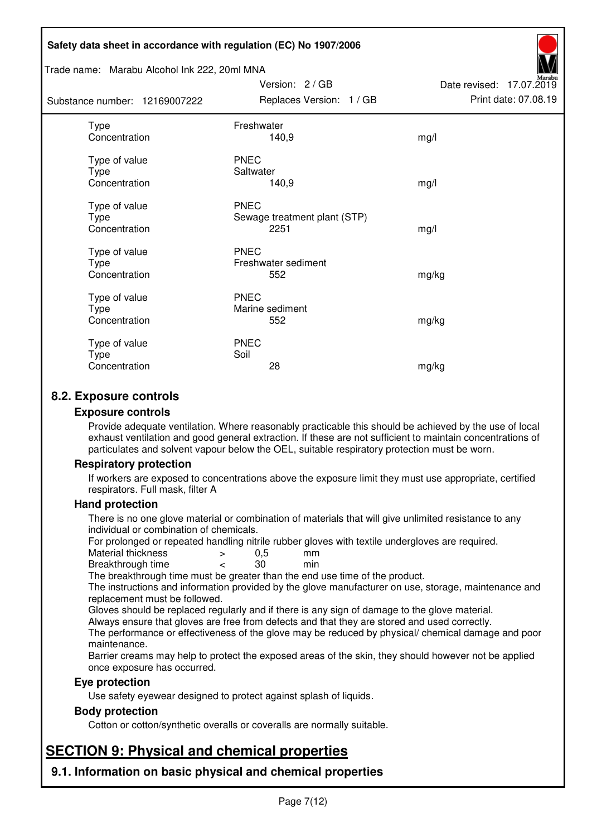#### Trade name: Marabu Alcohol Ink 222, 20ml MNA

Subst

| tance number: 12169007222              | Replaces Version: 1 / GB                            | Print date: 07.08.19 |
|----------------------------------------|-----------------------------------------------------|----------------------|
| Type<br>Concentration                  | Freshwater<br>140,9                                 | mg/l                 |
| Type of value<br>Type<br>Concentration | <b>PNEC</b><br>Saltwater<br>140,9                   | mg/l                 |
| Type of value<br>Type<br>Concentration | <b>PNEC</b><br>Sewage treatment plant (STP)<br>2251 | mg/l                 |
| Type of value<br>Type<br>Concentration | <b>PNEC</b><br>Freshwater sediment<br>552           | mg/kg                |
| Type of value<br>Type<br>Concentration | <b>PNEC</b><br>Marine sediment<br>552               | mg/kg                |
| Type of value<br>Type<br>Concentration | <b>PNEC</b><br>Soil<br>28                           | mg/kg                |

Version: 2 / GB

Date revised: 17.07.2019

# **8.2. Exposure controls**

#### **Exposure controls**

Provide adequate ventilation. Where reasonably practicable this should be achieved by the use of local exhaust ventilation and good general extraction. If these are not sufficient to maintain concentrations of particulates and solvent vapour below the OEL, suitable respiratory protection must be worn.

## **Respiratory protection**

If workers are exposed to concentrations above the exposure limit they must use appropriate, certified respirators. Full mask, filter A

#### **Hand protection**

There is no one glove material or combination of materials that will give unlimited resistance to any individual or combination of chemicals.

For prolonged or repeated handling nitrile rubber gloves with textile undergloves are required.<br>Material thickness  $\geq 0.5$  mm

- Material thickness  $\begin{array}{ccc} 0.5 \\ -8.5 \end{array}$  Material thickness  $\begin{array}{ccc} 0.5 \\ -8.5 \end{array}$
- Breakthrough time < 30 min

The breakthrough time must be greater than the end use time of the product.

The instructions and information provided by the glove manufacturer on use, storage, maintenance and replacement must be followed.

Gloves should be replaced regularly and if there is any sign of damage to the glove material.

Always ensure that gloves are free from defects and that they are stored and used correctly.

The performance or effectiveness of the glove may be reduced by physical/ chemical damage and poor maintenance.

Barrier creams may help to protect the exposed areas of the skin, they should however not be applied once exposure has occurred.

## **Eye protection**

Use safety eyewear designed to protect against splash of liquids.

## **Body protection**

Cotton or cotton/synthetic overalls or coveralls are normally suitable.

# **SECTION 9: Physical and chemical properties**

**9.1. Information on basic physical and chemical properties**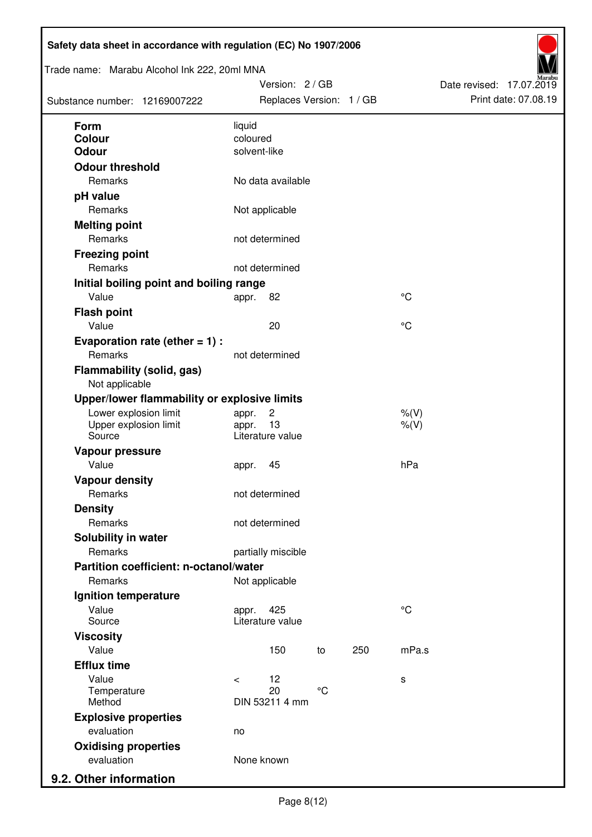| Trade name: Marabu Alcohol Ink 222, 20ml MNA<br>Substance number: 12169007222 | Version: 2 / GB<br>Replaces Version: 1 / GB | Date revised: 17.07.2019<br>Print date: 07.08.19 |
|-------------------------------------------------------------------------------|---------------------------------------------|--------------------------------------------------|
| Form                                                                          | liquid                                      |                                                  |
| Colour                                                                        | coloured                                    |                                                  |
| <b>Odour</b>                                                                  | solvent-like                                |                                                  |
| <b>Odour threshold</b>                                                        |                                             |                                                  |
| Remarks                                                                       | No data available                           |                                                  |
| pH value                                                                      |                                             |                                                  |
| Remarks                                                                       | Not applicable                              |                                                  |
| <b>Melting point</b>                                                          |                                             |                                                  |
| Remarks                                                                       | not determined                              |                                                  |
| <b>Freezing point</b>                                                         |                                             |                                                  |
| Remarks                                                                       | not determined                              |                                                  |
| Initial boiling point and boiling range                                       |                                             |                                                  |
| Value                                                                         | 82<br>appr.                                 | $\rm ^{\circ}C$                                  |
| <b>Flash point</b>                                                            |                                             |                                                  |
| Value                                                                         | 20                                          | °C                                               |
| Evaporation rate (ether $= 1$ ) :                                             |                                             |                                                  |
| Remarks                                                                       | not determined                              |                                                  |
| <b>Flammability (solid, gas)</b><br>Not applicable                            |                                             |                                                  |
| Upper/lower flammability or explosive limits                                  |                                             |                                                  |
| Lower explosion limit                                                         | $\overline{c}$<br>appr.                     | $%$ (V)                                          |
| Upper explosion limit<br>Source                                               | 13<br>appr.<br>Literature value             | $%$ (V)                                          |
| Vapour pressure                                                               |                                             |                                                  |
| Value                                                                         | 45<br>appr.                                 | hPa                                              |
| <b>Vapour density</b>                                                         |                                             |                                                  |
| Remarks                                                                       | not determined                              |                                                  |
| <b>Density</b>                                                                |                                             |                                                  |
| Remarks                                                                       | not determined                              |                                                  |
| Solubility in water                                                           |                                             |                                                  |
| Remarks                                                                       | partially miscible                          |                                                  |
| Partition coefficient: n-octanol/water                                        |                                             |                                                  |
| Remarks                                                                       | Not applicable                              |                                                  |
| Ignition temperature                                                          |                                             |                                                  |
| Value<br>Source                                                               | 425<br>appr.<br>Literature value            | $^{\circ}C$                                      |
| <b>Viscosity</b>                                                              |                                             |                                                  |
| Value                                                                         | 150<br>250<br>to                            | mPa.s                                            |
| <b>Efflux time</b>                                                            |                                             |                                                  |
| Value                                                                         | 12<br>$\,<\,$                               | s                                                |
| Temperature                                                                   | $\rm ^{\circ}C$<br>20                       |                                                  |
| Method                                                                        | DIN 53211 4 mm                              |                                                  |
| <b>Explosive properties</b>                                                   |                                             |                                                  |
| evaluation                                                                    | no                                          |                                                  |
| <b>Oxidising properties</b><br>evaluation                                     | None known                                  |                                                  |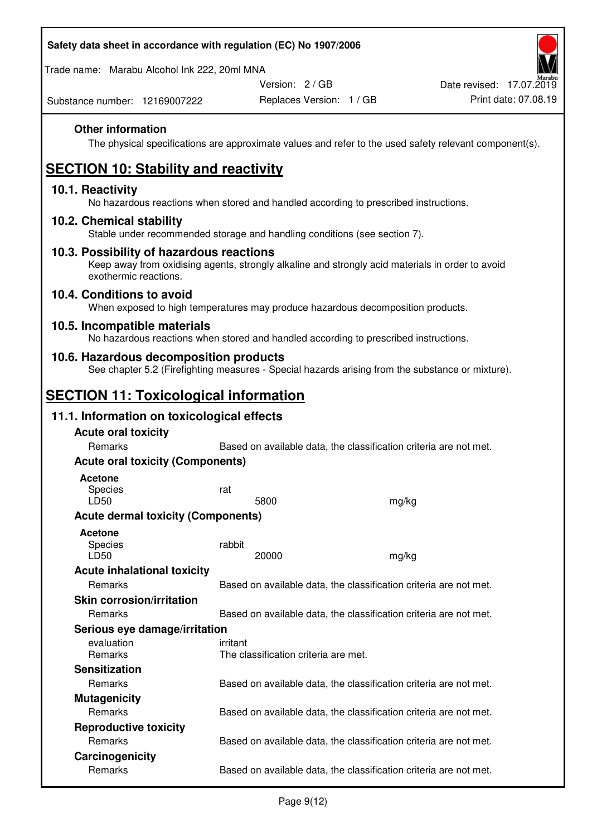| Safety data sheet in accordance with regulation (EC) No 1907/2006 |  |
|-------------------------------------------------------------------|--|
|                                                                   |  |

Trade name: Marabu Alcohol Ink 222, 20ml MNA

Version: 2 / GB

Substance number: 12169007222

# **Other information**

The physical specifications are approximate values and refer to the used safety relevant component(s).

# **SECTION 10: Stability and reactivity**

## **10.1. Reactivity**

No hazardous reactions when stored and handled according to prescribed instructions.

## **10.2. Chemical stability**

Stable under recommended storage and handling conditions (see section 7).

## **10.3. Possibility of hazardous reactions**

Keep away from oxidising agents, strongly alkaline and strongly acid materials in order to avoid exothermic reactions.

## **10.4. Conditions to avoid**

When exposed to high temperatures may produce hazardous decomposition products.

## **10.5. Incompatible materials**

No hazardous reactions when stored and handled according to prescribed instructions.

## **10.6. Hazardous decomposition products**

See chapter 5.2 (Firefighting measures - Special hazards arising from the substance or mixture).

# **SECTION 11: Toxicological information**

## **11.1. Information on toxicological effects**

| <b>Acute oral toxicity</b>                |                                                                   |       |  |
|-------------------------------------------|-------------------------------------------------------------------|-------|--|
| Remarks                                   | Based on available data, the classification criteria are not met. |       |  |
| <b>Acute oral toxicity (Components)</b>   |                                                                   |       |  |
| <b>Acetone</b>                            |                                                                   |       |  |
| <b>Species</b>                            | rat                                                               |       |  |
| LD50                                      | 5800                                                              | mg/kg |  |
| <b>Acute dermal toxicity (Components)</b> |                                                                   |       |  |
| <b>Acetone</b>                            |                                                                   |       |  |
| Species                                   | rabbit                                                            |       |  |
| LD50                                      | 20000                                                             | mg/kg |  |
| <b>Acute inhalational toxicity</b>        |                                                                   |       |  |
| Remarks                                   | Based on available data, the classification criteria are not met. |       |  |
| <b>Skin corrosion/irritation</b>          |                                                                   |       |  |
| Remarks                                   | Based on available data, the classification criteria are not met. |       |  |
| Serious eye damage/irritation             |                                                                   |       |  |
| evaluation                                | irritant                                                          |       |  |
| <b>Remarks</b>                            | The classification criteria are met.                              |       |  |
| <b>Sensitization</b>                      |                                                                   |       |  |
| <b>Remarks</b>                            | Based on available data, the classification criteria are not met. |       |  |
| <b>Mutagenicity</b>                       |                                                                   |       |  |
| Remarks                                   | Based on available data, the classification criteria are not met. |       |  |
| <b>Reproductive toxicity</b>              |                                                                   |       |  |
| Remarks                                   | Based on available data, the classification criteria are not met. |       |  |
| Carcinogenicity                           |                                                                   |       |  |
| Remarks                                   | Based on available data, the classification criteria are not met. |       |  |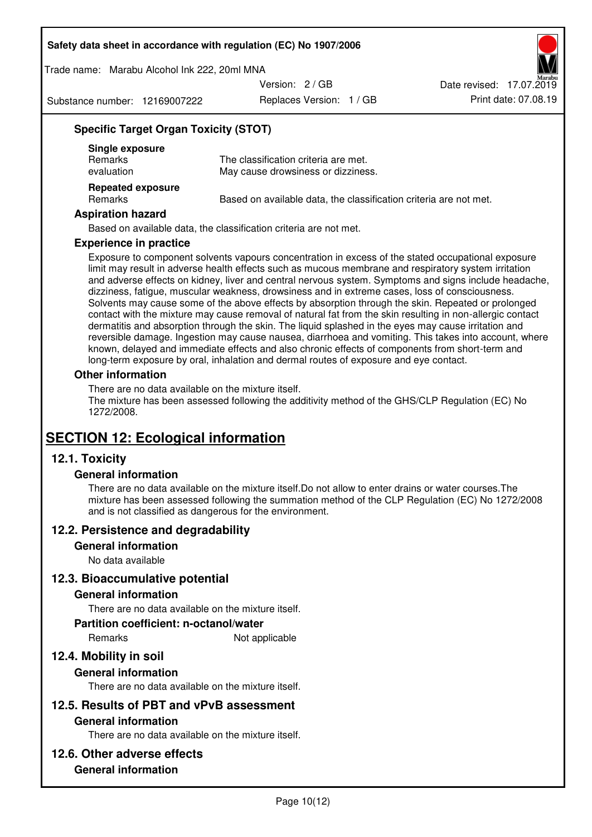Trade name: Marabu Alcohol Ink 222, 20ml MNA

Version: 2 / GB

Substance number: 12169007222

Replaces Version: 1 / GB Print date: 07.08.19 Date revised: 17.07.2019

# **Specific Target Organ Toxicity (STOT)**

| Single exposure<br><b>Remarks</b><br>evaluation | The classification criteria are met.<br>May cause drowsiness or dizziness. |
|-------------------------------------------------|----------------------------------------------------------------------------|
| <b>Repeated exposure</b><br>Remarks             | Based on available data, the classification criteria are not met.          |

#### **Aspiration hazard**

Based on available data, the classification criteria are not met.

#### **Experience in practice**

Exposure to component solvents vapours concentration in excess of the stated occupational exposure limit may result in adverse health effects such as mucous membrane and respiratory system irritation and adverse effects on kidney, liver and central nervous system. Symptoms and signs include headache, dizziness, fatigue, muscular weakness, drowsiness and in extreme cases, loss of consciousness. Solvents may cause some of the above effects by absorption through the skin. Repeated or prolonged contact with the mixture may cause removal of natural fat from the skin resulting in non-allergic contact dermatitis and absorption through the skin. The liquid splashed in the eyes may cause irritation and reversible damage. Ingestion may cause nausea, diarrhoea and vomiting. This takes into account, where known, delayed and immediate effects and also chronic effects of components from short-term and long-term exposure by oral, inhalation and dermal routes of exposure and eye contact.

#### **Other information**

There are no data available on the mixture itself. The mixture has been assessed following the additivity method of the GHS/CLP Regulation (EC) No 1272/2008.

# **SECTION 12: Ecological information**

# **12.1. Toxicity**

## **General information**

There are no data available on the mixture itself.Do not allow to enter drains or water courses.The mixture has been assessed following the summation method of the CLP Regulation (EC) No 1272/2008 and is not classified as dangerous for the environment.

## **12.2. Persistence and degradability**

#### **General information**

No data available

## **12.3. Bioaccumulative potential**

#### **General information**

There are no data available on the mixture itself.

#### **Partition coefficient: n-octanol/water**

Remarks Not applicable

# **12.4. Mobility in soil**

## **General information**

There are no data available on the mixture itself.

## **12.5. Results of PBT and vPvB assessment**

#### **General information**

There are no data available on the mixture itself.

## **12.6. Other adverse effects**

# **General information**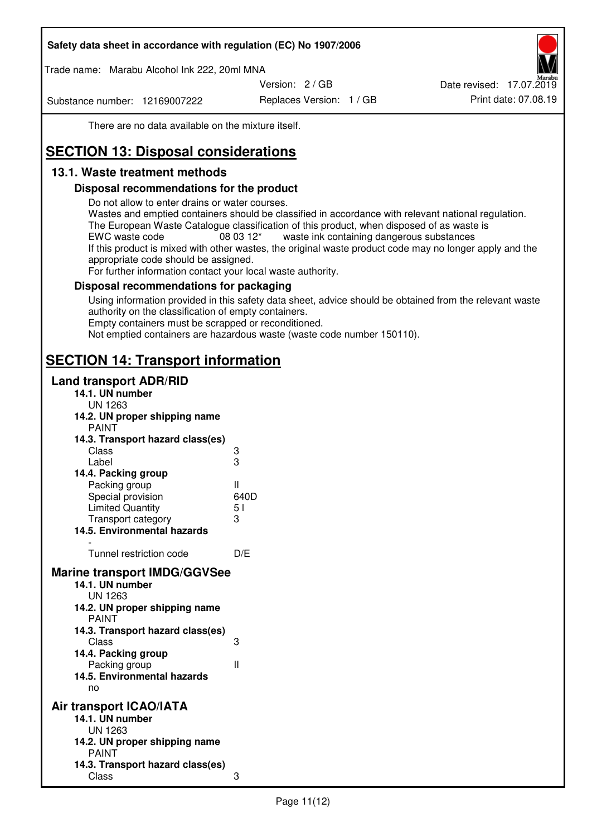Trade name: Marabu Alcohol Ink 222, 20ml MNA

Version: 2 / GB

Substance number: 12169007222

Replaces Version: 1 / GB Print date: 07.08.19 Date revised: 17.07.2019

There are no data available on the mixture itself.

# **SECTION 13: Disposal considerations**

# **13.1. Waste treatment methods**

# **Disposal recommendations for the product**

Do not allow to enter drains or water courses.

Wastes and emptied containers should be classified in accordance with relevant national regulation. The European Waste Catalogue classification of this product, when disposed of as waste is EWC waste code  $08\,03\,12^*$  waste ink containing dangerous substances If this product is mixed with other wastes, the original waste product code may no longer apply and the appropriate code should be assigned.

For further information contact your local waste authority.

# **Disposal recommendations for packaging**

Using information provided in this safety data sheet, advice should be obtained from the relevant waste authority on the classification of empty containers. Empty containers must be scrapped or reconditioned.

Not emptied containers are hazardous waste (waste code number 150110).

# **SECTION 14: Transport information**

# **Land transport ADR/RID**

| 14.1. UN number<br><b>UN 1263</b>                                                                                                                                                                                                            |                   |
|----------------------------------------------------------------------------------------------------------------------------------------------------------------------------------------------------------------------------------------------|-------------------|
| 14.2. UN proper shipping name                                                                                                                                                                                                                |                   |
| <b>PAINT</b>                                                                                                                                                                                                                                 |                   |
| 14.3. Transport hazard class(es)                                                                                                                                                                                                             |                   |
| Class                                                                                                                                                                                                                                        |                   |
| Label                                                                                                                                                                                                                                        | ვ<br>ვ            |
| 14.4. Packing group                                                                                                                                                                                                                          |                   |
| Packing group                                                                                                                                                                                                                                | Ш                 |
| Special provision                                                                                                                                                                                                                            | 640D              |
| <b>Limited Quantity</b>                                                                                                                                                                                                                      | 5 <sub>1</sub>    |
| Transport category                                                                                                                                                                                                                           | 3                 |
| 14.5. Environmental hazards                                                                                                                                                                                                                  |                   |
| Tunnel restriction code                                                                                                                                                                                                                      | D/E               |
|                                                                                                                                                                                                                                              |                   |
| <b>Marine transport IMDG/GGVSee</b><br>14.1. UN number<br>UN 1263<br>14.2. UN proper shipping name<br><b>PAINT</b><br>14.3. Transport hazard class(es)<br>Class<br>14.4. Packing group<br>Packing group<br>14.5. Environmental hazards<br>no | 3<br>$\mathbf{I}$ |
| Air transport ICAO/IATA                                                                                                                                                                                                                      |                   |
| 14.1. UN number                                                                                                                                                                                                                              |                   |
| UN 1263                                                                                                                                                                                                                                      |                   |
| 14.2. UN proper shipping name<br><b>PAINT</b>                                                                                                                                                                                                |                   |
| 14.3. Transport hazard class(es)                                                                                                                                                                                                             |                   |
| Class                                                                                                                                                                                                                                        | 3                 |
|                                                                                                                                                                                                                                              |                   |